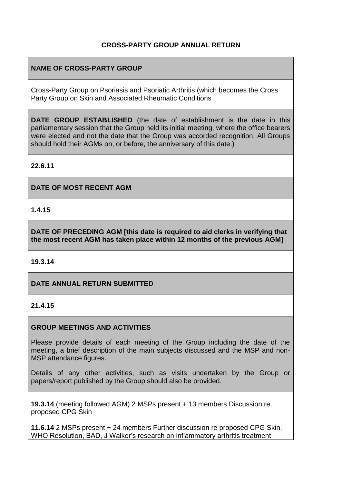## **CROSS-PARTY GROUP ANNUAL RETURN**

# **NAME OF CROSS-PARTY GROUP**

Cross-Party Group on Psoriasis and Psoriatic Arthritis (which becomes the Cross Party Group on Skin and Associated Rheumatic Conditions

**DATE GROUP ESTABLISHED** (the date of establishment is the date in this parliamentary session that the Group held its initial meeting, where the office bearers were elected and not the date that the Group was accorded recognition. All Groups should hold their AGMs on, or before, the anniversary of this date.)

**22.6.11**

**DATE OF MOST RECENT AGM**

**1.4.15**

**DATE OF PRECEDING AGM [this date is required to aid clerks in verifying that the most recent AGM has taken place within 12 months of the previous AGM]**

## **19.3.14**

**DATE ANNUAL RETURN SUBMITTED**

### **21.4.15**

#### **GROUP MEETINGS AND ACTIVITIES**

Please provide details of each meeting of the Group including the date of the meeting, a brief description of the main subjects discussed and the MSP and non-MSP attendance figures.

Details of any other activities, such as visits undertaken by the Group or papers/report published by the Group should also be provided.

**19.3.14** (meeting followed AGM) 2 MSPs present + 13 members Discussion re. proposed CPG Skin

**11.6.14** 2 MSPs present + 24 members Further discussion re proposed CPG Skin, WHO Resolution, BAD, J Walker's research on inflammatory arthritis treatment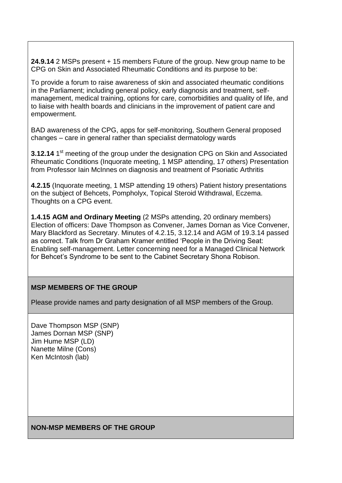**24.9.14** 2 MSPs present + 15 members Future of the group. New group name to be CPG on Skin and Associated Rheumatic Conditions and its purpose to be:

To provide a forum to raise awareness of skin and associated rheumatic conditions in the Parliament; including general policy, early diagnosis and treatment, selfmanagement, medical training, options for care, comorbidities and quality of life, and to liaise with health boards and clinicians in the improvement of patient care and empowerment.

BAD awareness of the CPG, apps for self-monitoring, Southern General proposed changes – care in general rather than specialist dermatology wards

**3.12.14** 1<sup>st</sup> meeting of the group under the designation CPG on Skin and Associated Rheumatic Conditions (Inquorate meeting, 1 MSP attending, 17 others) Presentation from Professor Iain McInnes on diagnosis and treatment of Psoriatic Arthritis

**4.2.15** (Inquorate meeting, 1 MSP attending 19 others) Patient history presentations on the subject of Behcets, Pompholyx, Topical Steroid Withdrawal, Eczema. Thoughts on a CPG event.

**1.4.15 AGM and Ordinary Meeting** (2 MSPs attending, 20 ordinary members) Election of officers: Dave Thompson as Convener, James Dornan as Vice Convener, Mary Blackford as Secretary. Minutes of 4.2.15, 3.12.14 and AGM of 19.3.14 passed as correct. Talk from Dr Graham Kramer entitled 'People in the Driving Seat: Enabling self-management. Letter concerning need for a Managed Clinical Network for Behcet's Syndrome to be sent to the Cabinet Secretary Shona Robison.

## **MSP MEMBERS OF THE GROUP**

Please provide names and party designation of all MSP members of the Group.

Dave Thompson MSP (SNP) James Dornan MSP (SNP) Jim Hume MSP (LD) Nanette Milne (Cons) Ken McIntosh (lab)

#### **NON-MSP MEMBERS OF THE GROUP**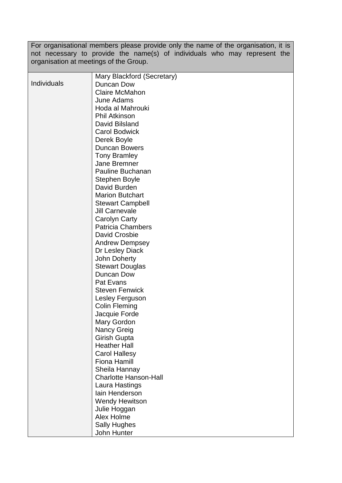For organisational members please provide only the name of the organisation, it is not necessary to provide the name(s) of individuals who may represent the organisation at meetings of the Group.

|             | Mary Blackford (Secretary)   |
|-------------|------------------------------|
| Individuals | Duncan Dow                   |
|             | <b>Claire McMahon</b>        |
|             | June Adams                   |
|             | Hoda al Mahrouki             |
|             |                              |
|             | <b>Phil Atkinson</b>         |
|             | David Bilsland               |
|             | <b>Carol Bodwick</b>         |
|             | Derek Boyle                  |
|             | <b>Duncan Bowers</b>         |
|             | <b>Tony Bramley</b>          |
|             | <b>Jane Bremner</b>          |
|             | Pauline Buchanan             |
|             | <b>Stephen Boyle</b>         |
|             | David Burden                 |
|             | <b>Marion Butchart</b>       |
|             | <b>Stewart Campbell</b>      |
|             | <b>Jill Carnevale</b>        |
|             | Carolyn Carty                |
|             | <b>Patricia Chambers</b>     |
|             | David Crosbie                |
|             | <b>Andrew Dempsey</b>        |
|             | Dr Lesley Diack              |
|             | John Doherty                 |
|             | <b>Stewart Douglas</b>       |
|             | Duncan Dow                   |
|             | Pat Evans                    |
|             | <b>Steven Fenwick</b>        |
|             | Lesley Ferguson              |
|             | <b>Colin Fleming</b>         |
|             | Jacquie Forde                |
|             | Mary Gordon                  |
|             | Nancy Greig                  |
|             | Girish Gupta                 |
|             | <b>Heather Hall</b>          |
|             | <b>Carol Hallesy</b>         |
|             | <b>Fiona Hamill</b>          |
|             | Sheila Hannay                |
|             | <b>Charlotte Hanson-Hall</b> |
|             |                              |
|             | Laura Hastings               |
|             | lain Henderson               |
|             | <b>Wendy Hewitson</b>        |
|             | Julie Hoggan                 |
|             | Alex Holme                   |
|             | <b>Sally Hughes</b>          |
|             | John Hunter                  |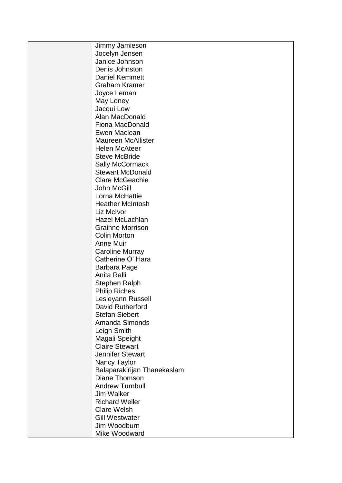| Jimmy Jamieson              |
|-----------------------------|
| Jocelyn Jensen              |
| Janice Johnson              |
| Denis Johnston              |
| <b>Daniel Kemmett</b>       |
| <b>Graham Kramer</b>        |
| Joyce Leman                 |
| May Loney                   |
| Jacqui Low                  |
| Alan MacDonald              |
| Fiona MacDonald             |
| Ewen Maclean                |
| <b>Maureen McAllister</b>   |
| <b>Helen McAteer</b>        |
| <b>Steve McBride</b>        |
| <b>Sally McCormack</b>      |
| <b>Stewart McDonald</b>     |
| <b>Clare McGeachie</b>      |
| John McGill                 |
| Lorna McHattie              |
| <b>Heather McIntosh</b>     |
| Liz McIvor                  |
|                             |
| Hazel McLachlan             |
| <b>Grainne Morrison</b>     |
| <b>Colin Morton</b>         |
| <b>Anne Muir</b>            |
| <b>Caroline Murray</b>      |
| Catherine O' Hara           |
| Barbara Page                |
| Anita Ralli                 |
| <b>Stephen Ralph</b>        |
| <b>Philip Riches</b>        |
| Lesleyann Russell           |
| David Rutherford            |
| <b>Stefan Siebert</b>       |
| Amanda Simonds              |
| Leigh Smith                 |
| Magali Speight              |
| <b>Claire Stewart</b>       |
| <b>Jennifer Stewart</b>     |
| Nancy Taylor                |
| Balaparakirijan Thanekaslam |
| Diane Thomson               |
| <b>Andrew Turnbull</b>      |
| <b>Jim Walker</b>           |
| <b>Richard Weller</b>       |
| <b>Clare Welsh</b>          |
| <b>Gill Westwater</b>       |
| Jim Woodburn                |
| Mike Woodward               |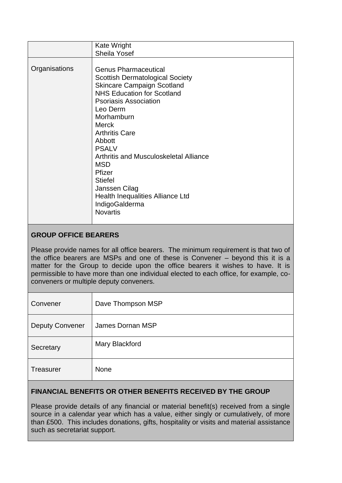|               | Kate Wright                            |
|---------------|----------------------------------------|
|               | <b>Sheila Yosef</b>                    |
|               |                                        |
| Organisations | <b>Genus Pharmaceutical</b>            |
|               | <b>Scottish Dermatological Society</b> |
|               | <b>Skincare Campaign Scotland</b>      |
|               | <b>NHS Education for Scotland</b>      |
|               | <b>Psoriasis Association</b>           |
|               | Leo Derm                               |
|               | Morhamburn                             |
|               | <b>Merck</b>                           |
|               | <b>Arthritis Care</b>                  |
|               | Abbott                                 |
|               | <b>PSALV</b>                           |
|               | Arthritis and Musculoskeletal Alliance |
|               | <b>MSD</b>                             |
|               | Pfizer                                 |
|               | <b>Stiefel</b>                         |
|               | Janssen Cilag                          |
|               | Health Inequalities Alliance Ltd       |
|               | IndigoGalderma                         |
|               | <b>Novartis</b>                        |
|               |                                        |

# **GROUP OFFICE BEARERS**

Please provide names for all office bearers. The minimum requirement is that two of the office bearers are MSPs and one of these is Convener – beyond this it is a matter for the Group to decide upon the office bearers it wishes to have. It is permissible to have more than one individual elected to each office, for example, coconveners or multiple deputy conveners.

| Convener               | Dave Thompson MSP |
|------------------------|-------------------|
| <b>Deputy Convener</b> | James Dornan MSP  |
| Secretary              | Mary Blackford    |
| Treasurer              | <b>None</b>       |

# **FINANCIAL BENEFITS OR OTHER BENEFITS RECEIVED BY THE GROUP**

Please provide details of any financial or material benefit(s) received from a single source in a calendar year which has a value, either singly or cumulatively, of more than £500. This includes donations, gifts, hospitality or visits and material assistance such as secretariat support.